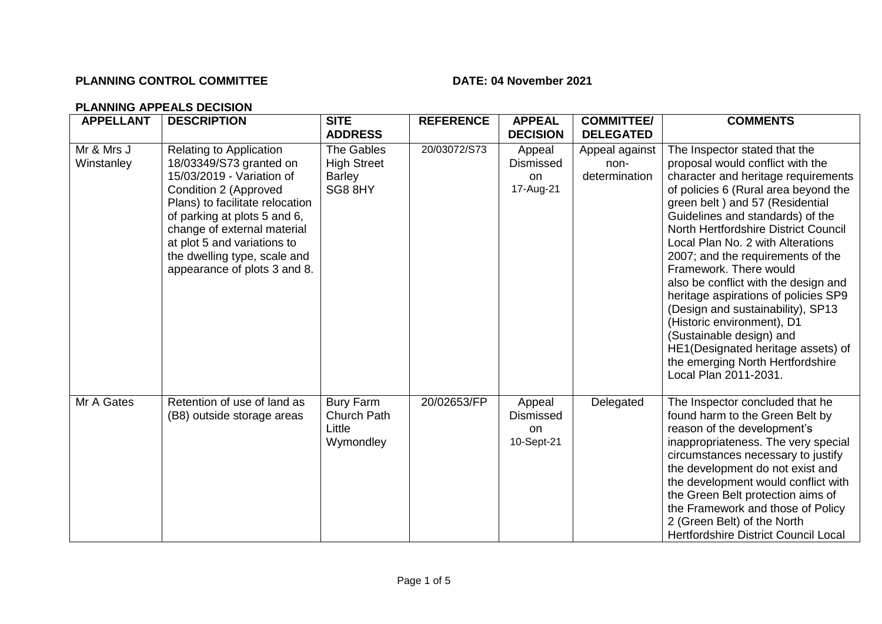## **PLANNING CONTROL COMMITTEE** DATE: 04 November 2021

## **PLANNING APPEALS DECISION**

| <b>APPELLANT</b>         | <b>DESCRIPTION</b>                                                                                                                                                                                                                                                                                               | <b>SITE</b><br><b>ADDRESS</b>                                | <b>REFERENCE</b> | <b>APPEAL</b><br><b>DECISION</b>                          | <b>COMMITTEE/</b><br><b>DELEGATED</b>   | <b>COMMENTS</b>                                                                                                                                                                                                                                                                                                                                                                                                                                                                                                                                                                                                                                       |
|--------------------------|------------------------------------------------------------------------------------------------------------------------------------------------------------------------------------------------------------------------------------------------------------------------------------------------------------------|--------------------------------------------------------------|------------------|-----------------------------------------------------------|-----------------------------------------|-------------------------------------------------------------------------------------------------------------------------------------------------------------------------------------------------------------------------------------------------------------------------------------------------------------------------------------------------------------------------------------------------------------------------------------------------------------------------------------------------------------------------------------------------------------------------------------------------------------------------------------------------------|
| Mr & Mrs J<br>Winstanley | <b>Relating to Application</b><br>18/03349/S73 granted on<br>15/03/2019 - Variation of<br>Condition 2 (Approved<br>Plans) to facilitate relocation<br>of parking at plots 5 and 6,<br>change of external material<br>at plot 5 and variations to<br>the dwelling type, scale and<br>appearance of plots 3 and 8. | <b>The Gables</b><br><b>High Street</b><br>Barley<br>SG8 8HY | 20/03072/S73     | Appeal<br><b>Dismissed</b><br>on<br>17-Aug-21             | Appeal against<br>non-<br>determination | The Inspector stated that the<br>proposal would conflict with the<br>character and heritage requirements<br>of policies 6 (Rural area beyond the<br>green belt) and 57 (Residential<br>Guidelines and standards) of the<br>North Hertfordshire District Council<br>Local Plan No. 2 with Alterations<br>2007; and the requirements of the<br>Framework. There would<br>also be conflict with the design and<br>heritage aspirations of policies SP9<br>(Design and sustainability), SP13<br>(Historic environment), D1<br>(Sustainable design) and<br>HE1(Designated heritage assets) of<br>the emerging North Hertfordshire<br>Local Plan 2011-2031. |
| Mr A Gates               | Retention of use of land as<br>(B8) outside storage areas                                                                                                                                                                                                                                                        | <b>Bury Farm</b><br>Church Path<br>Little<br>Wymondley       | 20/02653/FP      | Appeal<br><b>Dismissed</b><br><sub>on</sub><br>10-Sept-21 | Delegated                               | The Inspector concluded that he<br>found harm to the Green Belt by<br>reason of the development's<br>inappropriateness. The very special<br>circumstances necessary to justify<br>the development do not exist and<br>the development would conflict with<br>the Green Belt protection aims of<br>the Framework and those of Policy<br>2 (Green Belt) of the North<br><b>Hertfordshire District Council Local</b>                                                                                                                                                                                                                                     |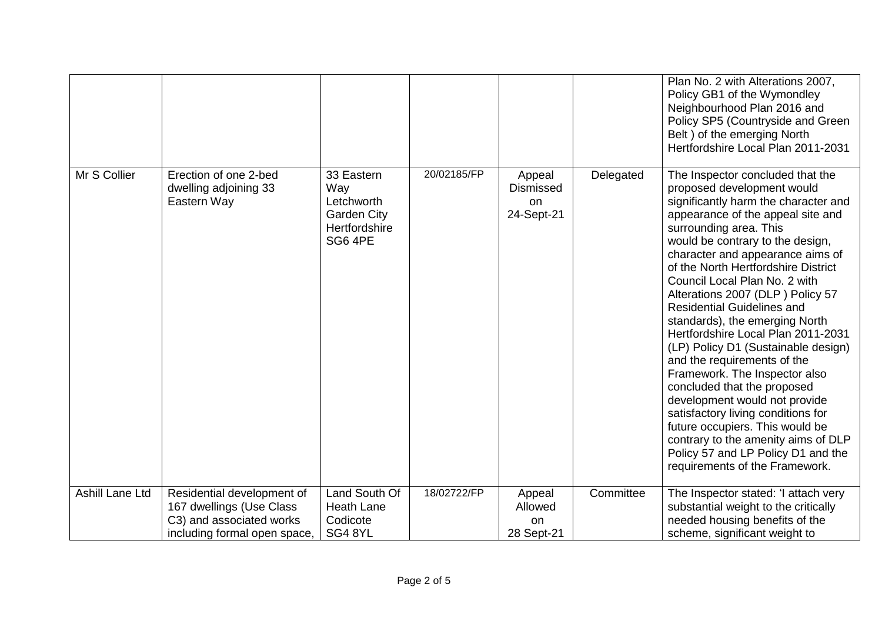|                        |                                                                                                                    |                                                                                   |             |                                                           |           | Plan No. 2 with Alterations 2007,<br>Policy GB1 of the Wymondley<br>Neighbourhood Plan 2016 and<br>Policy SP5 (Countryside and Green<br>Belt ) of the emerging North<br>Hertfordshire Local Plan 2011-2031                                                                                                                                                                                                                                                                                                                                                                                                                                                                                                                                                                                                                            |
|------------------------|--------------------------------------------------------------------------------------------------------------------|-----------------------------------------------------------------------------------|-------------|-----------------------------------------------------------|-----------|---------------------------------------------------------------------------------------------------------------------------------------------------------------------------------------------------------------------------------------------------------------------------------------------------------------------------------------------------------------------------------------------------------------------------------------------------------------------------------------------------------------------------------------------------------------------------------------------------------------------------------------------------------------------------------------------------------------------------------------------------------------------------------------------------------------------------------------|
| Mr S Collier           | Erection of one 2-bed<br>dwelling adjoining 33<br>Eastern Way                                                      | 33 Eastern<br>Way<br>Letchworth<br><b>Garden City</b><br>Hertfordshire<br>SG6 4PE | 20/02185/FP | Appeal<br><b>Dismissed</b><br><sub>on</sub><br>24-Sept-21 | Delegated | The Inspector concluded that the<br>proposed development would<br>significantly harm the character and<br>appearance of the appeal site and<br>surrounding area. This<br>would be contrary to the design,<br>character and appearance aims of<br>of the North Hertfordshire District<br>Council Local Plan No. 2 with<br>Alterations 2007 (DLP) Policy 57<br><b>Residential Guidelines and</b><br>standards), the emerging North<br>Hertfordshire Local Plan 2011-2031<br>(LP) Policy D1 (Sustainable design)<br>and the requirements of the<br>Framework. The Inspector also<br>concluded that the proposed<br>development would not provide<br>satisfactory living conditions for<br>future occupiers. This would be<br>contrary to the amenity aims of DLP<br>Policy 57 and LP Policy D1 and the<br>requirements of the Framework. |
| <b>Ashill Lane Ltd</b> | Residential development of<br>167 dwellings (Use Class<br>C3) and associated works<br>including formal open space, | Land South Of<br><b>Heath Lane</b><br>Codicote<br>SG48YL                          | 18/02722/FP | Appeal<br>Allowed<br>on<br>28 Sept-21                     | Committee | The Inspector stated: 'I attach very<br>substantial weight to the critically<br>needed housing benefits of the<br>scheme, significant weight to                                                                                                                                                                                                                                                                                                                                                                                                                                                                                                                                                                                                                                                                                       |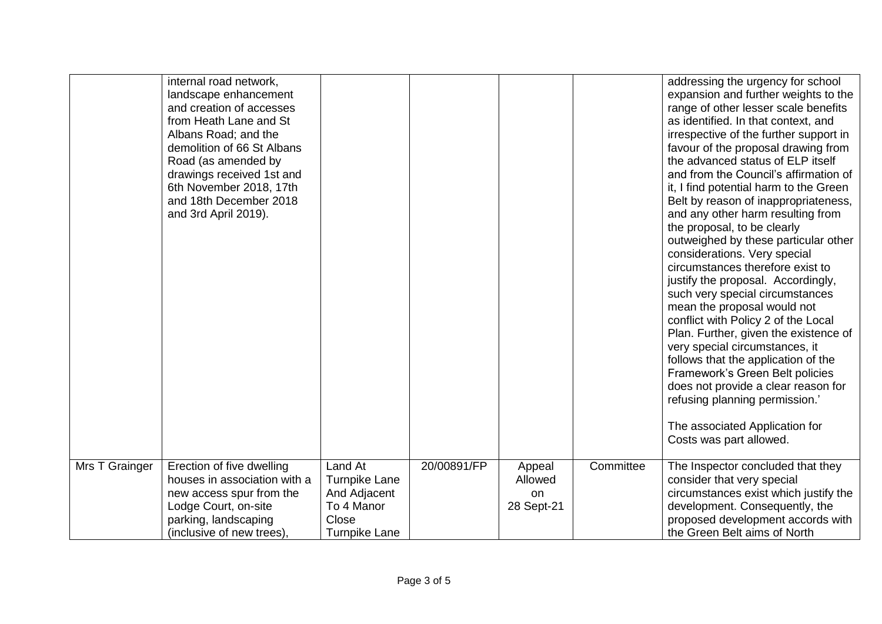|                | internal road network,<br>landscape enhancement<br>and creation of accesses<br>from Heath Lane and St<br>Albans Road; and the<br>demolition of 66 St Albans<br>Road (as amended by<br>drawings received 1st and<br>6th November 2018, 17th<br>and 18th December 2018<br>and 3rd April 2019). |                                                                                                |             |                                       |           | addressing the urgency for school<br>expansion and further weights to the<br>range of other lesser scale benefits<br>as identified. In that context, and<br>irrespective of the further support in<br>favour of the proposal drawing from<br>the advanced status of ELP itself<br>and from the Council's affirmation of<br>it, I find potential harm to the Green<br>Belt by reason of inappropriateness,<br>and any other harm resulting from<br>the proposal, to be clearly<br>outweighed by these particular other<br>considerations. Very special<br>circumstances therefore exist to<br>justify the proposal. Accordingly,<br>such very special circumstances<br>mean the proposal would not<br>conflict with Policy 2 of the Local<br>Plan. Further, given the existence of<br>very special circumstances, it<br>follows that the application of the<br>Framework's Green Belt policies<br>does not provide a clear reason for<br>refusing planning permission.'<br>The associated Application for<br>Costs was part allowed. |
|----------------|----------------------------------------------------------------------------------------------------------------------------------------------------------------------------------------------------------------------------------------------------------------------------------------------|------------------------------------------------------------------------------------------------|-------------|---------------------------------------|-----------|-------------------------------------------------------------------------------------------------------------------------------------------------------------------------------------------------------------------------------------------------------------------------------------------------------------------------------------------------------------------------------------------------------------------------------------------------------------------------------------------------------------------------------------------------------------------------------------------------------------------------------------------------------------------------------------------------------------------------------------------------------------------------------------------------------------------------------------------------------------------------------------------------------------------------------------------------------------------------------------------------------------------------------------|
| Mrs T Grainger | Erection of five dwelling<br>houses in association with a<br>new access spur from the<br>Lodge Court, on-site<br>parking, landscaping<br>(inclusive of new trees).                                                                                                                           | Land At<br><b>Turnpike Lane</b><br>And Adjacent<br>To 4 Manor<br>Close<br><b>Turnpike Lane</b> | 20/00891/FP | Appeal<br>Allowed<br>on<br>28 Sept-21 | Committee | The Inspector concluded that they<br>consider that very special<br>circumstances exist which justify the<br>development. Consequently, the<br>proposed development accords with<br>the Green Belt aims of North                                                                                                                                                                                                                                                                                                                                                                                                                                                                                                                                                                                                                                                                                                                                                                                                                     |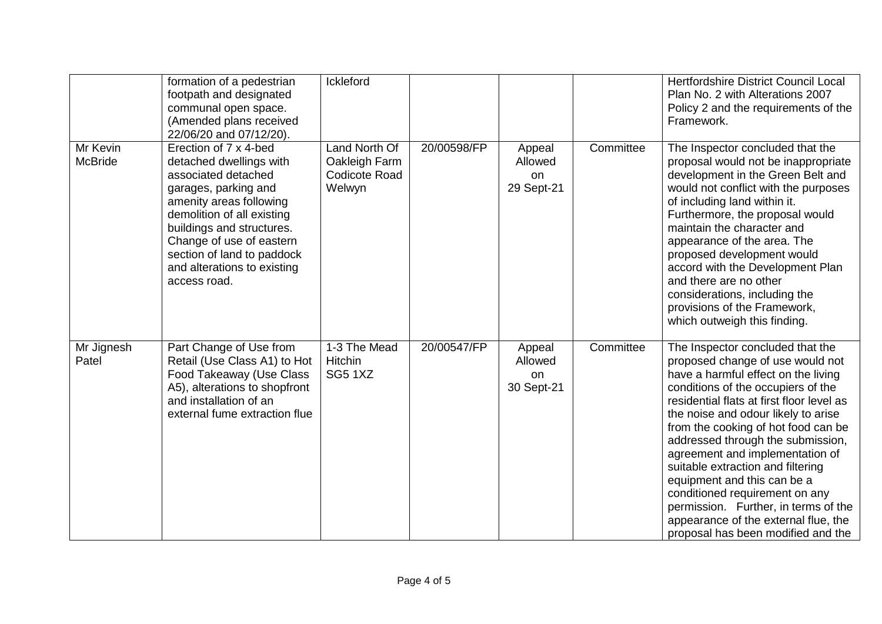|                            | formation of a pedestrian<br>footpath and designated<br>communal open space.<br>(Amended plans received<br>22/06/20 and 07/12/20).                                                                                                                                                             | Ickleford                                                        |             |                                       |           | Hertfordshire District Council Local<br>Plan No. 2 with Alterations 2007<br>Policy 2 and the requirements of the<br>Framework.                                                                                                                                                                                                                                                                                                                                                                                                                                                   |
|----------------------------|------------------------------------------------------------------------------------------------------------------------------------------------------------------------------------------------------------------------------------------------------------------------------------------------|------------------------------------------------------------------|-------------|---------------------------------------|-----------|----------------------------------------------------------------------------------------------------------------------------------------------------------------------------------------------------------------------------------------------------------------------------------------------------------------------------------------------------------------------------------------------------------------------------------------------------------------------------------------------------------------------------------------------------------------------------------|
| Mr Kevin<br><b>McBride</b> | Erection of 7 x 4-bed<br>detached dwellings with<br>associated detached<br>garages, parking and<br>amenity areas following<br>demolition of all existing<br>buildings and structures.<br>Change of use of eastern<br>section of land to paddock<br>and alterations to existing<br>access road. | Land North Of<br>Oakleigh Farm<br><b>Codicote Road</b><br>Welwyn | 20/00598/FP | Appeal<br>Allowed<br>on<br>29 Sept-21 | Committee | The Inspector concluded that the<br>proposal would not be inappropriate<br>development in the Green Belt and<br>would not conflict with the purposes<br>of including land within it.<br>Furthermore, the proposal would<br>maintain the character and<br>appearance of the area. The<br>proposed development would<br>accord with the Development Plan<br>and there are no other<br>considerations, including the<br>provisions of the Framework,<br>which outweigh this finding.                                                                                                |
| Mr Jignesh<br>Patel        | Part Change of Use from<br>Retail (Use Class A1) to Hot<br>Food Takeaway (Use Class<br>A5), alterations to shopfront<br>and installation of an<br>external fume extraction flue                                                                                                                | 1-3 The Mead<br>Hitchin<br><b>SG5 1XZ</b>                        | 20/00547/FP | Appeal<br>Allowed<br>on<br>30 Sept-21 | Committee | The Inspector concluded that the<br>proposed change of use would not<br>have a harmful effect on the living<br>conditions of the occupiers of the<br>residential flats at first floor level as<br>the noise and odour likely to arise<br>from the cooking of hot food can be<br>addressed through the submission,<br>agreement and implementation of<br>suitable extraction and filtering<br>equipment and this can be a<br>conditioned requirement on any<br>permission. Further, in terms of the<br>appearance of the external flue, the<br>proposal has been modified and the |